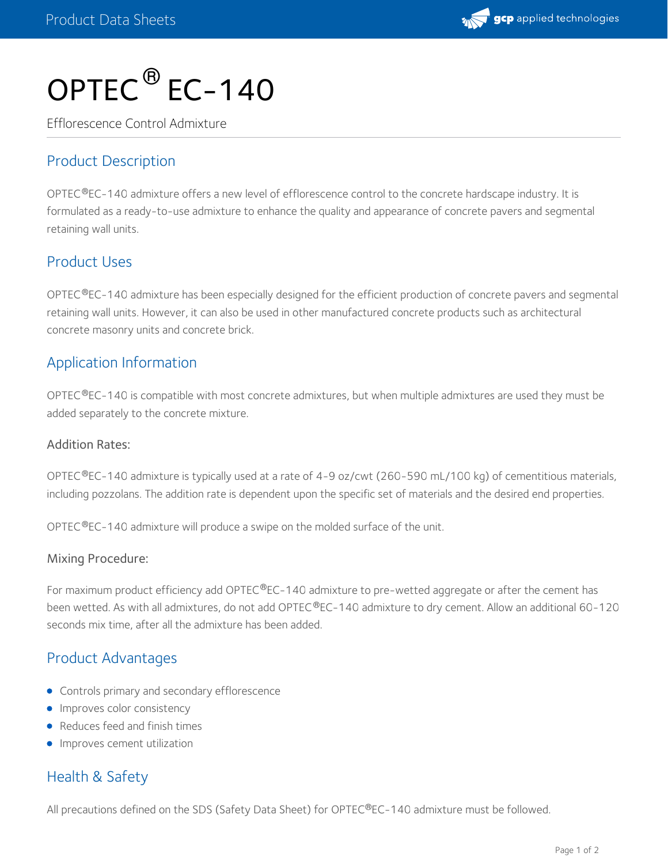

# OPTEC $^\circledR$  EC-140

Efflorescence Control Admixture

## Product Description

OPTEC®EC-140 admixture offers a new level of efflorescence control to the concrete hardscape industry. It is formulated as a ready-to-use admixture to enhance the quality and appearance of concrete pavers and segmental retaining wall units.

#### Product Uses

OPTEC®EC-140 admixture has been especially designed for the efficient production of concrete pavers and segmental retaining wall units. However, it can also be used in other manufactured concrete products such as architectural concrete masonry units and concrete brick.

#### Application Information

OPTEC $^{\circledR}$ EC-140 is compatible with most concrete admixtures, but when multiple admixtures are used they must be added separately to the concrete mixture.

#### Addition Rates:

OPTEC®EC-140 admixture is typically used at a rate of 4-9 oz/cwt (260-590 mL/100 kg) of cementitious materials, including pozzolans. The addition rate is dependent upon the specific set of materials and the desired end properties.

OPTEC $^{\circledR}$ EC-140 admixture will produce a swipe on the molded surface of the unit.

#### Mixing Procedure:

For maximum product efficiency add OPTEC®EC-140 admixture to pre-wetted aggregate or after the cement has been wetted. As with all admixtures, do not add OPTEC®EC-140 admixture to dry cement. Allow an additional 60-120 seconds mix time, after all the admixture has been added.

## Product Advantages

- **•** Controls primary and secondary efflorescence
- **Improves color consistency**
- Reduces feed and finish times
- **Improves cement utilization**

## Health & Safety

All precautions defined on the SDS (Safety Data Sheet) for OPTEC®EC-140 admixture must be followed.